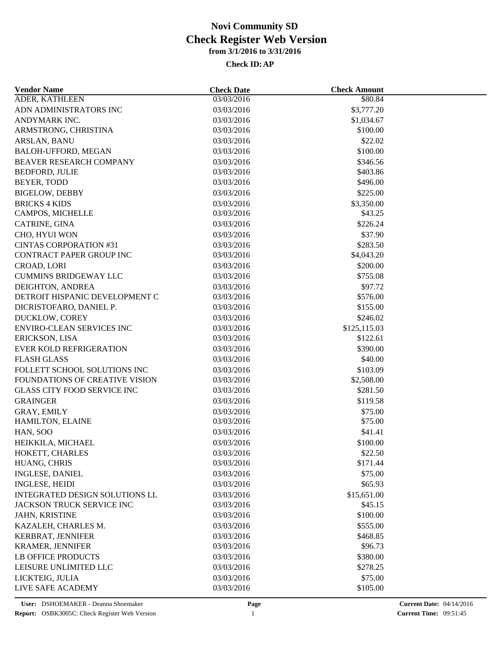| <b>Vendor Name</b>                 | <b>Check Date</b> | <b>Check Amount</b> |  |
|------------------------------------|-------------------|---------------------|--|
| ADER, KATHLEEN                     | 03/03/2016        | \$80.84             |  |
| ADN ADMINISTRATORS INC             | 03/03/2016        | \$3,777.20          |  |
| ANDYMARK INC.                      | 03/03/2016        | \$1,034.67          |  |
| ARMSTRONG, CHRISTINA               | 03/03/2016        | \$100.00            |  |
| ARSLAN, BANU                       | 03/03/2016        | \$22.02             |  |
| BALOH-UFFORD, MEGAN                | 03/03/2016        | \$100.00            |  |
| BEAVER RESEARCH COMPANY            | 03/03/2016        | \$346.56            |  |
| <b>BEDFORD, JULIE</b>              | 03/03/2016        | \$403.86            |  |
| BEYER, TODD                        | 03/03/2016        | \$496.00            |  |
| <b>BIGELOW, DEBBY</b>              | 03/03/2016        | \$225.00            |  |
| <b>BRICKS 4 KIDS</b>               | 03/03/2016        | \$3,350.00          |  |
| CAMPOS, MICHELLE                   | 03/03/2016        | \$43.25             |  |
| CATRINE, GINA                      | 03/03/2016        | \$226.24            |  |
| CHO, HYUI WON                      | 03/03/2016        | \$37.90             |  |
| <b>CINTAS CORPORATION #31</b>      | 03/03/2016        | \$283.50            |  |
| CONTRACT PAPER GROUP INC           | 03/03/2016        | \$4,043.20          |  |
| CROAD, LORI                        | 03/03/2016        | \$200.00            |  |
| <b>CUMMINS BRIDGEWAY LLC</b>       | 03/03/2016        | \$755.08            |  |
| DEIGHTON, ANDREA                   | 03/03/2016        | \$97.72             |  |
| DETROIT HISPANIC DEVELOPMENT C     | 03/03/2016        | \$576.00            |  |
| DICRISTOFARO, DANIEL P.            | 03/03/2016        | \$155.00            |  |
| DUCKLOW, COREY                     | 03/03/2016        | \$246.02            |  |
| <b>ENVIRO-CLEAN SERVICES INC</b>   | 03/03/2016        | \$125,115.03        |  |
| ERICKSON, LISA                     | 03/03/2016        | \$122.61            |  |
| EVER KOLD REFRIGERATION            | 03/03/2016        | \$390.00            |  |
| <b>FLASH GLASS</b>                 | 03/03/2016        | \$40.00             |  |
| FOLLETT SCHOOL SOLUTIONS INC       | 03/03/2016        | \$103.09            |  |
| FOUNDATIONS OF CREATIVE VISION     | 03/03/2016        | \$2,508.00          |  |
| <b>GLASS CITY FOOD SERVICE INC</b> | 03/03/2016        | \$281.50            |  |
| <b>GRAINGER</b>                    | 03/03/2016        | \$119.58            |  |
| GRAY, EMILY                        | 03/03/2016        | \$75.00             |  |
| HAMILTON, ELAINE                   | 03/03/2016        | \$75.00             |  |
| HAN, SOO                           | 03/03/2016        | \$41.41             |  |
| HEIKKILA, MICHAEL                  | 03/03/2016        | \$100.00            |  |
| HOKETT, CHARLES                    | 03/03/2016        | \$22.50             |  |
| HUANG, CHRIS                       | 03/03/2016        | \$171.44            |  |
| <b>INGLESE, DANIEL</b>             | 03/03/2016        | \$75.00             |  |
| <b>INGLESE, HEIDI</b>              | 03/03/2016        | \$65.93             |  |
| INTEGRATED DESIGN SOLUTIONS LL     | 03/03/2016        | \$15,651.00         |  |
| JACKSON TRUCK SERVICE INC          | 03/03/2016        | \$45.15             |  |
| JAHN, KRISTINE                     | 03/03/2016        | \$100.00            |  |
|                                    | 03/03/2016        | \$555.00            |  |
| KAZALEH, CHARLES M.                |                   |                     |  |
| KERBRAT, JENNIFER                  | 03/03/2016        | \$468.85            |  |
| <b>KRAMER, JENNIFER</b>            | 03/03/2016        | \$96.73             |  |
| <b>LB OFFICE PRODUCTS</b>          | 03/03/2016        | \$380.00            |  |
| LEISURE UNLIMITED LLC              | 03/03/2016        | \$278.25            |  |
| LICKTEIG, JULIA                    | 03/03/2016        | \$75.00             |  |
| LIVE SAFE ACADEMY                  | 03/03/2016        | \$105.00            |  |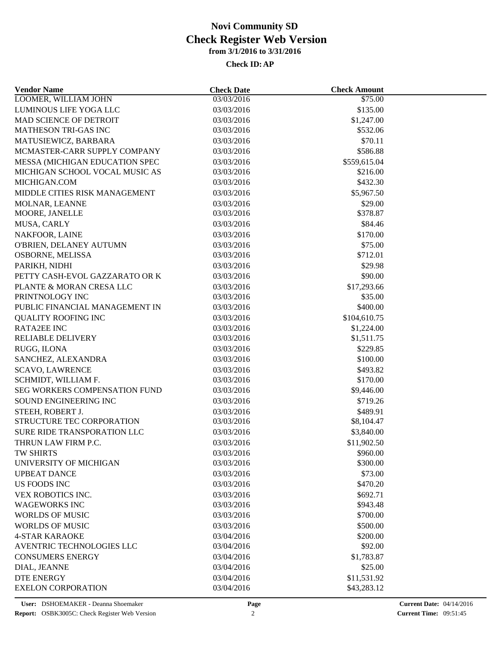| <b>Vendor Name</b>                        | <b>Check Date</b> | <b>Check Amount</b> |  |
|-------------------------------------------|-------------------|---------------------|--|
| LOOMER, WILLIAM JOHN                      | 03/03/2016        | \$75.00             |  |
| LUMINOUS LIFE YOGA LLC                    | 03/03/2016        | \$135.00            |  |
| MAD SCIENCE OF DETROIT                    | 03/03/2016        | \$1,247.00          |  |
| MATHESON TRI-GAS INC                      | 03/03/2016        | \$532.06            |  |
| MATUSIEWICZ, BARBARA                      | 03/03/2016        | \$70.11             |  |
| MCMASTER-CARR SUPPLY COMPANY              | 03/03/2016        | \$586.88            |  |
| MESSA (MICHIGAN EDUCATION SPEC            | 03/03/2016        | \$559,615.04        |  |
| MICHIGAN SCHOOL VOCAL MUSIC AS            | 03/03/2016        | \$216.00            |  |
| MICHIGAN.COM                              | 03/03/2016        | \$432.30            |  |
| MIDDLE CITIES RISK MANAGEMENT             | 03/03/2016        | \$5,967.50          |  |
| MOLNAR, LEANNE                            | 03/03/2016        | \$29.00             |  |
| MOORE, JANELLE                            | 03/03/2016        | \$378.87            |  |
| MUSA, CARLY                               | 03/03/2016        | \$84.46             |  |
| NAKFOOR, LAINE                            | 03/03/2016        | \$170.00            |  |
| O'BRIEN, DELANEY AUTUMN                   | 03/03/2016        | \$75.00             |  |
| OSBORNE, MELISSA                          | 03/03/2016        | \$712.01            |  |
| PARIKH, NIDHI                             | 03/03/2016        | \$29.98             |  |
| PETTY CASH-EVOL GAZZARATO OR K            | 03/03/2016        | \$90.00             |  |
| PLANTE & MORAN CRESA LLC                  | 03/03/2016        | \$17,293.66         |  |
| PRINTNOLOGY INC                           | 03/03/2016        | \$35.00             |  |
| PUBLIC FINANCIAL MANAGEMENT IN            | 03/03/2016        | \$400.00            |  |
| <b>QUALITY ROOFING INC</b>                | 03/03/2016        | \$104,610.75        |  |
| <b>RATA2EE INC</b>                        | 03/03/2016        | \$1,224.00          |  |
| <b>RELIABLE DELIVERY</b>                  | 03/03/2016        | \$1,511.75          |  |
| RUGG, ILONA                               | 03/03/2016        | \$229.85            |  |
| SANCHEZ, ALEXANDRA                        | 03/03/2016        | \$100.00            |  |
| <b>SCAVO, LAWRENCE</b>                    | 03/03/2016        | \$493.82            |  |
| SCHMIDT, WILLIAM F.                       | 03/03/2016        | \$170.00            |  |
| SEG WORKERS COMPENSATION FUND             | 03/03/2016        | \$9,446.00          |  |
| SOUND ENGINEERING INC                     | 03/03/2016        | \$719.26            |  |
| STEEH, ROBERT J.                          | 03/03/2016        | \$489.91            |  |
| STRUCTURE TEC CORPORATION                 | 03/03/2016        | \$8,104.47          |  |
| SURE RIDE TRANSPORATION LLC               | 03/03/2016        | \$3,840.00          |  |
| THRUN LAW FIRM P.C.                       | 03/03/2016        | \$11,902.50         |  |
| TW SHIRTS                                 | 03/03/2016        | \$960.00            |  |
| UNIVERSITY OF MICHIGAN                    | 03/03/2016        | \$300.00            |  |
| <b>UPBEAT DANCE</b>                       | 03/03/2016        | \$73.00             |  |
| <b>US FOODS INC</b>                       |                   | \$470.20            |  |
|                                           | 03/03/2016        |                     |  |
| VEX ROBOTICS INC.<br><b>WAGEWORKS INC</b> | 03/03/2016        | \$692.71            |  |
| <b>WORLDS OF MUSIC</b>                    | 03/03/2016        | \$943.48            |  |
|                                           | 03/03/2016        | \$700.00            |  |
| <b>WORLDS OF MUSIC</b>                    | 03/03/2016        | \$500.00            |  |
| <b>4-STAR KARAOKE</b>                     | 03/04/2016        | \$200.00            |  |
| AVENTRIC TECHNOLOGIES LLC                 | 03/04/2016        | \$92.00             |  |
| <b>CONSUMERS ENERGY</b>                   | 03/04/2016        | \$1,783.87          |  |
| DIAL, JEANNE                              | 03/04/2016        | \$25.00             |  |
| <b>DTE ENERGY</b>                         | 03/04/2016        | \$11,531.92         |  |
| <b>EXELON CORPORATION</b>                 | 03/04/2016        | \$43,283.12         |  |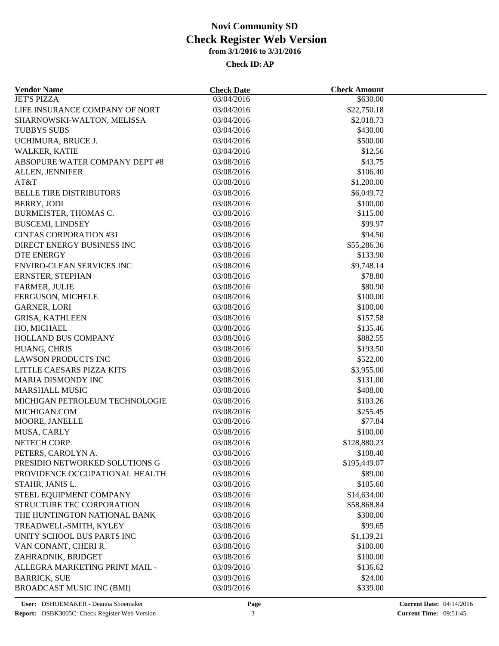| <b>Vendor Name</b>                              | <b>Check Date</b>        | <b>Check Amount</b>    |  |
|-------------------------------------------------|--------------------------|------------------------|--|
| <b>JET'S PIZZA</b>                              | 03/04/2016               | \$630.00               |  |
| LIFE INSURANCE COMPANY OF NORT                  | 03/04/2016               | \$22,750.18            |  |
| SHARNOWSKI-WALTON, MELISSA                      | 03/04/2016               | \$2,018.73             |  |
| <b>TUBBYS SUBS</b>                              | 03/04/2016               | \$430.00               |  |
| UCHIMURA, BRUCE J.                              | 03/04/2016               | \$500.00               |  |
| WALKER, KATIE                                   | 03/04/2016               | \$12.56                |  |
| ABSOPURE WATER COMPANY DEPT #8                  | 03/08/2016               | \$43.75                |  |
| ALLEN, JENNIFER                                 | 03/08/2016               | \$106.40               |  |
| AT&T                                            | 03/08/2016               | \$1,200.00             |  |
| <b>BELLE TIRE DISTRIBUTORS</b>                  | 03/08/2016               | \$6,049.72             |  |
| BERRY, JODI                                     | 03/08/2016               | \$100.00               |  |
| BURMEISTER, THOMAS C.                           | 03/08/2016               | \$115.00               |  |
| <b>BUSCEMI, LINDSEY</b>                         | 03/08/2016               | \$99.97                |  |
| <b>CINTAS CORPORATION #31</b>                   | 03/08/2016               | \$94.50                |  |
| DIRECT ENERGY BUSINESS INC                      | 03/08/2016               | \$55,286.36            |  |
| <b>DTE ENERGY</b>                               | 03/08/2016               | \$133.90               |  |
| <b>ENVIRO-CLEAN SERVICES INC</b>                | 03/08/2016               | \$9,748.14             |  |
| ERNSTER, STEPHAN                                | 03/08/2016               | \$78.80                |  |
| FARMER, JULIE                                   | 03/08/2016               | \$80.90                |  |
| FERGUSON, MICHELE                               | 03/08/2016               | \$100.00               |  |
| <b>GARNER, LORI</b>                             | 03/08/2016               | \$100.00               |  |
| <b>GRISA, KATHLEEN</b>                          | 03/08/2016               | \$157.58               |  |
| HO, MICHAEL                                     | 03/08/2016               | \$135.46               |  |
| HOLLAND BUS COMPANY                             | 03/08/2016               | \$882.55               |  |
| HUANG, CHRIS                                    | 03/08/2016               | \$193.50               |  |
| <b>LAWSON PRODUCTS INC</b>                      | 03/08/2016               | \$522.00               |  |
|                                                 |                          |                        |  |
| LITTLE CAESARS PIZZA KITS<br>MARIA DISMONDY INC | 03/08/2016<br>03/08/2016 | \$3,955.00<br>\$131.00 |  |
|                                                 |                          |                        |  |
| <b>MARSHALL MUSIC</b>                           | 03/08/2016               | \$408.00               |  |
| MICHIGAN PETROLEUM TECHNOLOGIE                  | 03/08/2016               | \$103.26               |  |
| MICHIGAN.COM                                    | 03/08/2016               | \$255.45               |  |
| MOORE, JANELLE                                  | 03/08/2016               | \$77.84                |  |
| MUSA, CARLY                                     | 03/08/2016               | \$100.00               |  |
| NETECH CORP.                                    | 03/08/2016               | \$128,880.23           |  |
| PETERS, CAROLYN A.                              | 03/08/2016               | \$108.40               |  |
| PRESIDIO NETWORKED SOLUTIONS G                  | 03/08/2016               | \$195,449.07           |  |
| PROVIDENCE OCCUPATIONAL HEALTH                  | 03/08/2016               | \$89.00                |  |
| STAHR, JANIS L.                                 | 03/08/2016               | \$105.60               |  |
| STEEL EQUIPMENT COMPANY                         | 03/08/2016               | \$14,634.00            |  |
| STRUCTURE TEC CORPORATION                       | 03/08/2016               | \$58,868.84            |  |
| THE HUNTINGTON NATIONAL BANK                    | 03/08/2016               | \$300.00               |  |
| TREADWELL-SMITH, KYLEY                          | 03/08/2016               | \$99.65                |  |
| UNITY SCHOOL BUS PARTS INC                      | 03/08/2016               | \$1,139.21             |  |
| VAN CONANT, CHERI R.                            | 03/08/2016               | \$100.00               |  |
| ZAHRADNIK, BRIDGET                              | 03/08/2016               | \$100.00               |  |
| ALLEGRA MARKETING PRINT MAIL -                  | 03/09/2016               | \$136.62               |  |
| <b>BARRICK, SUE</b>                             | 03/09/2016               | \$24.00                |  |
| <b>BROADCAST MUSIC INC (BMI)</b>                | 03/09/2016               | \$339.00               |  |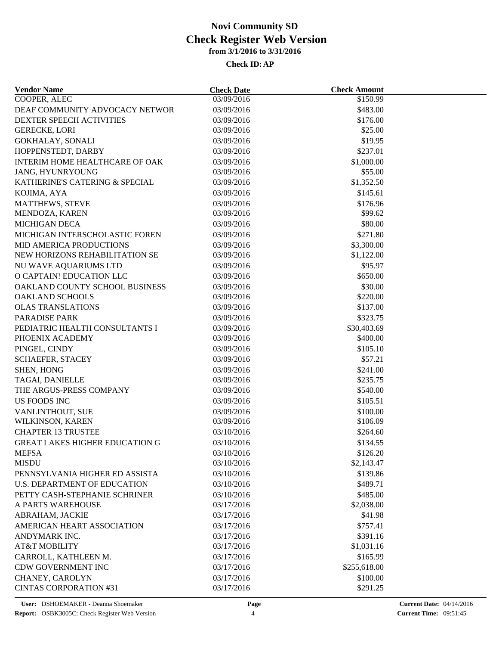| <b>Vendor Name</b>                    | <b>Check Date</b>        | <b>Check Amount</b>     |  |
|---------------------------------------|--------------------------|-------------------------|--|
| <b>COOPER, ALEC</b>                   | 03/09/2016               | \$150.99                |  |
| DEAF COMMUNITY ADVOCACY NETWOR        | 03/09/2016               | \$483.00                |  |
| <b>DEXTER SPEECH ACTIVITIES</b>       | 03/09/2016               | \$176.00                |  |
| <b>GERECKE, LORI</b>                  | 03/09/2016               | \$25.00                 |  |
| GOKHALAY, SONALI                      | 03/09/2016               | \$19.95                 |  |
| HOPPENSTEDT, DARBY                    | 03/09/2016               | \$237.01                |  |
| INTERIM HOME HEALTHCARE OF OAK        | 03/09/2016               | \$1,000.00              |  |
| JANG, HYUNRYOUNG                      | 03/09/2016               | \$55.00                 |  |
| KATHERINE'S CATERING & SPECIAL        | 03/09/2016               | \$1,352.50              |  |
| KOJIMA, AYA                           | 03/09/2016               | \$145.61                |  |
| <b>MATTHEWS, STEVE</b>                | 03/09/2016               | \$176.96                |  |
| MENDOZA, KAREN                        | 03/09/2016               | \$99.62                 |  |
| <b>MICHIGAN DECA</b>                  | 03/09/2016               | \$80.00                 |  |
| MICHIGAN INTERSCHOLASTIC FOREN        | 03/09/2016               | \$271.80                |  |
| MID AMERICA PRODUCTIONS               | 03/09/2016               | \$3,300.00              |  |
| NEW HORIZONS REHABILITATION SE        | 03/09/2016               | \$1,122.00              |  |
| NU WAVE AQUARIUMS LTD                 | 03/09/2016               | \$95.97                 |  |
| O CAPTAIN! EDUCATION LLC              | 03/09/2016               | \$650.00                |  |
| OAKLAND COUNTY SCHOOL BUSINESS        | 03/09/2016               | \$30.00                 |  |
| <b>OAKLAND SCHOOLS</b>                | 03/09/2016               | \$220.00                |  |
| <b>OLAS TRANSLATIONS</b>              | 03/09/2016               | \$137.00                |  |
| <b>PARADISE PARK</b>                  | 03/09/2016               | \$323.75                |  |
| PEDIATRIC HEALTH CONSULTANTS I        |                          |                         |  |
| PHOENIX ACADEMY                       | 03/09/2016<br>03/09/2016 | \$30,403.69<br>\$400.00 |  |
| PINGEL, CINDY                         | 03/09/2016               | \$105.10                |  |
|                                       |                          |                         |  |
| <b>SCHAEFER, STACEY</b>               | 03/09/2016               | \$57.21                 |  |
| <b>SHEN, HONG</b>                     | 03/09/2016               | \$241.00                |  |
| TAGAI, DANIELLE                       | 03/09/2016               | \$235.75                |  |
| THE ARGUS-PRESS COMPANY               | 03/09/2016               | \$540.00                |  |
| <b>US FOODS INC</b>                   | 03/09/2016               | \$105.51                |  |
| VANLINTHOUT, SUE                      | 03/09/2016               | \$100.00                |  |
| WILKINSON, KAREN                      | 03/09/2016               | \$106.09                |  |
| <b>CHAPTER 13 TRUSTEE</b>             | 03/10/2016               | \$264.60                |  |
| <b>GREAT LAKES HIGHER EDUCATION G</b> | 03/10/2016               | \$134.55                |  |
| <b>MEFSA</b>                          | 03/10/2016               | \$126.20                |  |
| <b>MISDU</b>                          | 03/10/2016               | \$2,143.47              |  |
| PENNSYLVANIA HIGHER ED ASSISTA        | 03/10/2016               | \$139.86                |  |
| <b>U.S. DEPARTMENT OF EDUCATION</b>   | 03/10/2016               | \$489.71                |  |
| PETTY CASH-STEPHANIE SCHRINER         | 03/10/2016               | \$485.00                |  |
| A PARTS WAREHOUSE                     | 03/17/2016               | \$2,038.00              |  |
| ABRAHAM, JACKIE                       | 03/17/2016               | \$41.98                 |  |
| AMERICAN HEART ASSOCIATION            | 03/17/2016               | \$757.41                |  |
| ANDYMARK INC.                         | 03/17/2016               | \$391.16                |  |
| <b>AT&amp;T MOBILITY</b>              | 03/17/2016               | \$1,031.16              |  |
| CARROLL, KATHLEEN M.                  | 03/17/2016               | \$165.99                |  |
| CDW GOVERNMENT INC                    | 03/17/2016               | \$255,618.00            |  |
| CHANEY, CAROLYN                       | 03/17/2016               | \$100.00                |  |
| <b>CINTAS CORPORATION #31</b>         | 03/17/2016               | \$291.25                |  |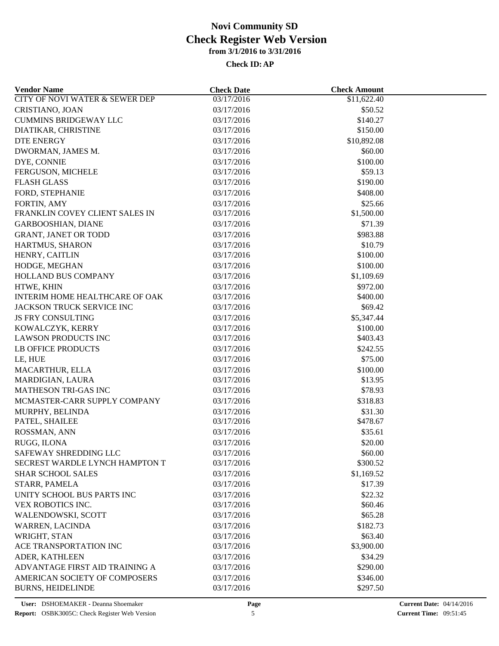| <b>Vendor Name</b>                        | <b>Check Date</b> | <b>Check Amount</b> |  |
|-------------------------------------------|-------------------|---------------------|--|
| <b>CITY OF NOVI WATER &amp; SEWER DEP</b> | 03/17/2016        | \$11,622.40         |  |
| CRISTIANO, JOAN                           | 03/17/2016        | \$50.52             |  |
| <b>CUMMINS BRIDGEWAY LLC</b>              | 03/17/2016        | \$140.27            |  |
| DIATIKAR, CHRISTINE                       | 03/17/2016        | \$150.00            |  |
| <b>DTE ENERGY</b>                         | 03/17/2016        | \$10,892.08         |  |
| DWORMAN, JAMES M.                         | 03/17/2016        | \$60.00             |  |
| DYE, CONNIE                               | 03/17/2016        | \$100.00            |  |
| FERGUSON, MICHELE                         | 03/17/2016        | \$59.13             |  |
| <b>FLASH GLASS</b>                        | 03/17/2016        | \$190.00            |  |
| FORD, STEPHANIE                           | 03/17/2016        | \$408.00            |  |
| FORTIN, AMY                               | 03/17/2016        | \$25.66             |  |
| FRANKLIN COVEY CLIENT SALES IN            | 03/17/2016        | \$1,500.00          |  |
| <b>GARBOOSHIAN, DIANE</b>                 | 03/17/2016        | \$71.39             |  |
| <b>GRANT, JANET OR TODD</b>               | 03/17/2016        | \$983.88            |  |
| HARTMUS, SHARON                           | 03/17/2016        | \$10.79             |  |
| HENRY, CAITLIN                            | 03/17/2016        | \$100.00            |  |
| HODGE, MEGHAN                             | 03/17/2016        | \$100.00            |  |
| HOLLAND BUS COMPANY                       | 03/17/2016        | \$1,109.69          |  |
| HTWE, KHIN                                | 03/17/2016        | \$972.00            |  |
| INTERIM HOME HEALTHCARE OF OAK            | 03/17/2016        | \$400.00            |  |
| <b>JACKSON TRUCK SERVICE INC</b>          | 03/17/2016        | \$69.42             |  |
| <b>JS FRY CONSULTING</b>                  | 03/17/2016        | \$5,347.44          |  |
| KOWALCZYK, KERRY                          | 03/17/2016        | \$100.00            |  |
| <b>LAWSON PRODUCTS INC</b>                | 03/17/2016        | \$403.43            |  |
| <b>LB OFFICE PRODUCTS</b>                 | 03/17/2016        | \$242.55            |  |
|                                           |                   | \$75.00             |  |
| LE, HUE                                   | 03/17/2016        |                     |  |
| MACARTHUR, ELLA                           | 03/17/2016        | \$100.00            |  |
| MARDIGIAN, LAURA                          | 03/17/2016        | \$13.95             |  |
| <b>MATHESON TRI-GAS INC</b>               | 03/17/2016        | \$78.93             |  |
| MCMASTER-CARR SUPPLY COMPANY              | 03/17/2016        | \$318.83            |  |
| MURPHY, BELINDA                           | 03/17/2016        | \$31.30             |  |
| PATEL, SHAILEE                            | 03/17/2016        | \$478.67            |  |
| ROSSMAN, ANN                              | 03/17/2016        | \$35.61             |  |
| RUGG, ILONA                               | 03/17/2016        | \$20.00             |  |
| SAFEWAY SHREDDING LLC                     | 03/17/2016        | \$60.00             |  |
| SECREST WARDLE LYNCH HAMPTON T            | 03/17/2016        | \$300.52            |  |
| <b>SHAR SCHOOL SALES</b>                  | 03/17/2016        | \$1,169.52          |  |
| STARR, PAMELA                             | 03/17/2016        | \$17.39             |  |
| UNITY SCHOOL BUS PARTS INC                | 03/17/2016        | \$22.32             |  |
| VEX ROBOTICS INC.                         | 03/17/2016        | \$60.46             |  |
| WALENDOWSKI, SCOTT                        | 03/17/2016        | \$65.28             |  |
| WARREN, LACINDA                           | 03/17/2016        | \$182.73            |  |
| WRIGHT, STAN                              | 03/17/2016        | \$63.40             |  |
| ACE TRANSPORTATION INC                    | 03/17/2016        | \$3,900.00          |  |
| ADER, KATHLEEN                            | 03/17/2016        | \$34.29             |  |
| ADVANTAGE FIRST AID TRAINING A            | 03/17/2016        | \$290.00            |  |
| AMERICAN SOCIETY OF COMPOSERS             | 03/17/2016        | \$346.00            |  |
| <b>BURNS, HEIDELINDE</b>                  | 03/17/2016        | \$297.50            |  |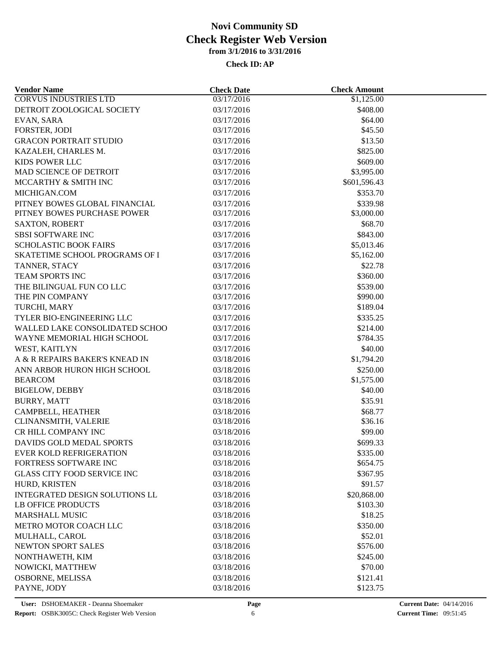| <b>Vendor Name</b>                 | <b>Check Date</b> | <b>Check Amount</b> |  |
|------------------------------------|-------------------|---------------------|--|
| <b>CORVUS INDUSTRIES LTD</b>       | 03/17/2016        | \$1,125.00          |  |
| DETROIT ZOOLOGICAL SOCIETY         | 03/17/2016        | \$408.00            |  |
| EVAN, SARA                         | 03/17/2016        | \$64.00             |  |
| FORSTER, JODI                      | 03/17/2016        | \$45.50             |  |
| <b>GRACON PORTRAIT STUDIO</b>      | 03/17/2016        | \$13.50             |  |
| KAZALEH, CHARLES M.                | 03/17/2016        | \$825.00            |  |
| KIDS POWER LLC                     | 03/17/2016        | \$609.00            |  |
| MAD SCIENCE OF DETROIT             | 03/17/2016        | \$3,995.00          |  |
| MCCARTHY & SMITH INC               | 03/17/2016        | \$601,596.43        |  |
| MICHIGAN.COM                       | 03/17/2016        | \$353.70            |  |
| PITNEY BOWES GLOBAL FINANCIAL      | 03/17/2016        | \$339.98            |  |
| PITNEY BOWES PURCHASE POWER        | 03/17/2016        | \$3,000.00          |  |
| <b>SAXTON, ROBERT</b>              | 03/17/2016        | \$68.70             |  |
| <b>SBSI SOFTWARE INC</b>           | 03/17/2016        | \$843.00            |  |
| <b>SCHOLASTIC BOOK FAIRS</b>       | 03/17/2016        | \$5,013.46          |  |
| SKATETIME SCHOOL PROGRAMS OF I     | 03/17/2016        | \$5,162.00          |  |
| TANNER, STACY                      | 03/17/2016        | \$22.78             |  |
| TEAM SPORTS INC                    | 03/17/2016        | \$360.00            |  |
| THE BILINGUAL FUN CO LLC           | 03/17/2016        | \$539.00            |  |
| THE PIN COMPANY                    | 03/17/2016        | \$990.00            |  |
| TURCHI, MARY                       | 03/17/2016        | \$189.04            |  |
| TYLER BIO-ENGINEERING LLC          | 03/17/2016        | \$335.25            |  |
|                                    |                   |                     |  |
| WALLED LAKE CONSOLIDATED SCHOO     | 03/17/2016        | \$214.00            |  |
| WAYNE MEMORIAL HIGH SCHOOL         | 03/17/2016        | \$784.35            |  |
| WEST, KAITLYN                      | 03/17/2016        | \$40.00             |  |
| A & R REPAIRS BAKER'S KNEAD IN     | 03/18/2016        | \$1,794.20          |  |
| ANN ARBOR HURON HIGH SCHOOL        | 03/18/2016        | \$250.00            |  |
| <b>BEARCOM</b>                     | 03/18/2016        | \$1,575.00          |  |
| <b>BIGELOW, DEBBY</b>              | 03/18/2016        | \$40.00             |  |
| <b>BURRY, MATT</b>                 | 03/18/2016        | \$35.91             |  |
| CAMPBELL, HEATHER                  | 03/18/2016        | \$68.77             |  |
| CLINANSMITH, VALERIE               | 03/18/2016        | \$36.16             |  |
| CR HILL COMPANY INC                | 03/18/2016        | \$99.00             |  |
| DAVIDS GOLD MEDAL SPORTS           | 03/18/2016        | \$699.33            |  |
| EVER KOLD REFRIGERATION            | 03/18/2016        | \$335.00            |  |
| FORTRESS SOFTWARE INC              | 03/18/2016        | \$654.75            |  |
| <b>GLASS CITY FOOD SERVICE INC</b> | 03/18/2016        | \$367.95            |  |
| HURD, KRISTEN                      | 03/18/2016        | \$91.57             |  |
| INTEGRATED DESIGN SOLUTIONS LL     | 03/18/2016        | \$20,868.00         |  |
| LB OFFICE PRODUCTS                 | 03/18/2016        | \$103.30            |  |
| <b>MARSHALL MUSIC</b>              | 03/18/2016        | \$18.25             |  |
| METRO MOTOR COACH LLC              | 03/18/2016        | \$350.00            |  |
| MULHALL, CAROL                     | 03/18/2016        | \$52.01             |  |
| NEWTON SPORT SALES                 | 03/18/2016        | \$576.00            |  |
| NONTHAWETH, KIM                    | 03/18/2016        | \$245.00            |  |
| NOWICKI, MATTHEW                   | 03/18/2016        | \$70.00             |  |
| OSBORNE, MELISSA                   | 03/18/2016        | \$121.41            |  |
| PAYNE, JODY                        | 03/18/2016        | \$123.75            |  |
|                                    |                   |                     |  |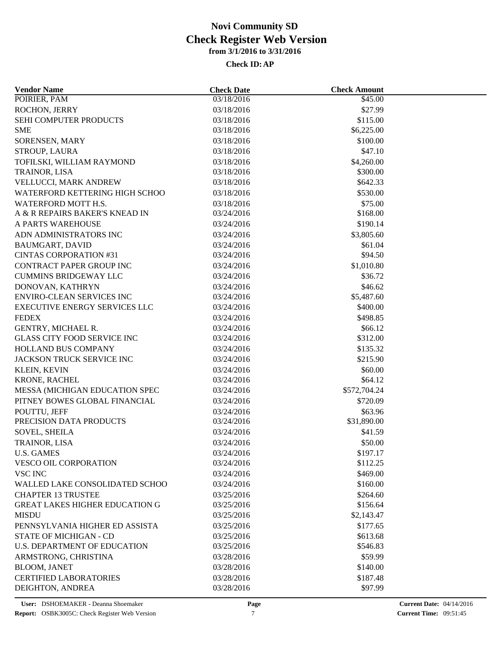| <b>Vendor Name</b>                    | <b>Check Date</b>        | <b>Check Amount</b> |  |
|---------------------------------------|--------------------------|---------------------|--|
| POIRIER, PAM                          | 03/18/2016               | \$45.00             |  |
| ROCHON, JERRY                         | 03/18/2016               | \$27.99             |  |
| SEHI COMPUTER PRODUCTS                | 03/18/2016               | \$115.00            |  |
| <b>SME</b>                            | 03/18/2016               | \$6,225.00          |  |
| SORENSEN, MARY                        | 03/18/2016               | \$100.00            |  |
| STROUP, LAURA                         | 03/18/2016               | \$47.10             |  |
| TOFILSKI, WILLIAM RAYMOND             | 03/18/2016               | \$4,260.00          |  |
| TRAINOR, LISA                         | 03/18/2016               | \$300.00            |  |
| VELLUCCI, MARK ANDREW                 | 03/18/2016               | \$642.33            |  |
| WATERFORD KETTERING HIGH SCHOO        | 03/18/2016               | \$530.00            |  |
| WATERFORD MOTT H.S.                   | 03/18/2016               | \$75.00             |  |
| A & R REPAIRS BAKER'S KNEAD IN        | 03/24/2016               | \$168.00            |  |
| A PARTS WAREHOUSE                     | 03/24/2016               | \$190.14            |  |
| ADN ADMINISTRATORS INC                | 03/24/2016               | \$3,805.60          |  |
| <b>BAUMGART, DAVID</b>                | 03/24/2016               | \$61.04             |  |
| <b>CINTAS CORPORATION #31</b>         | 03/24/2016               | \$94.50             |  |
| CONTRACT PAPER GROUP INC              | 03/24/2016               | \$1,010.80          |  |
| <b>CUMMINS BRIDGEWAY LLC</b>          | 03/24/2016               | \$36.72             |  |
| DONOVAN, KATHRYN                      | 03/24/2016               | \$46.62             |  |
| <b>ENVIRO-CLEAN SERVICES INC</b>      | 03/24/2016               | \$5,487.60          |  |
| <b>EXECUTIVE ENERGY SERVICES LLC</b>  | 03/24/2016               | \$400.00            |  |
| <b>FEDEX</b>                          | 03/24/2016               | \$498.85            |  |
| GENTRY, MICHAEL R.                    | 03/24/2016               | \$66.12             |  |
| <b>GLASS CITY FOOD SERVICE INC</b>    | 03/24/2016               | \$312.00            |  |
| HOLLAND BUS COMPANY                   | 03/24/2016               | \$135.32            |  |
| JACKSON TRUCK SERVICE INC             | 03/24/2016               | \$215.90            |  |
|                                       |                          | \$60.00             |  |
| <b>KLEIN, KEVIN</b><br>KRONE, RACHEL  | 03/24/2016<br>03/24/2016 | \$64.12             |  |
|                                       |                          |                     |  |
| MESSA (MICHIGAN EDUCATION SPEC        | 03/24/2016               | \$572,704.24        |  |
| PITNEY BOWES GLOBAL FINANCIAL         | 03/24/2016               | \$720.09            |  |
| POUTTU, JEFF                          | 03/24/2016               | \$63.96             |  |
| PRECISION DATA PRODUCTS               | 03/24/2016               | \$31,890.00         |  |
| <b>SOVEL, SHEILA</b>                  | 03/24/2016               | \$41.59             |  |
| TRAINOR, LISA                         | 03/24/2016               | \$50.00             |  |
| <b>U.S. GAMES</b>                     | 03/24/2016               | \$197.17            |  |
| VESCO OIL CORPORATION                 | 03/24/2016               | \$112.25            |  |
| VSC INC                               | 03/24/2016               | \$469.00            |  |
| WALLED LAKE CONSOLIDATED SCHOO        | 03/24/2016               | \$160.00            |  |
| <b>CHAPTER 13 TRUSTEE</b>             | 03/25/2016               | \$264.60            |  |
| <b>GREAT LAKES HIGHER EDUCATION G</b> | 03/25/2016               | \$156.64            |  |
| <b>MISDU</b>                          | 03/25/2016               | \$2,143.47          |  |
| PENNSYLVANIA HIGHER ED ASSISTA        | 03/25/2016               | \$177.65            |  |
| <b>STATE OF MICHIGAN - CD</b>         | 03/25/2016               | \$613.68            |  |
| <b>U.S. DEPARTMENT OF EDUCATION</b>   | 03/25/2016               | \$546.83            |  |
| ARMSTRONG, CHRISTINA                  | 03/28/2016               | \$59.99             |  |
| <b>BLOOM, JANET</b>                   | 03/28/2016               | \$140.00            |  |
| <b>CERTIFIED LABORATORIES</b>         | 03/28/2016               | \$187.48            |  |
| DEIGHTON, ANDREA                      | 03/28/2016               | \$97.99             |  |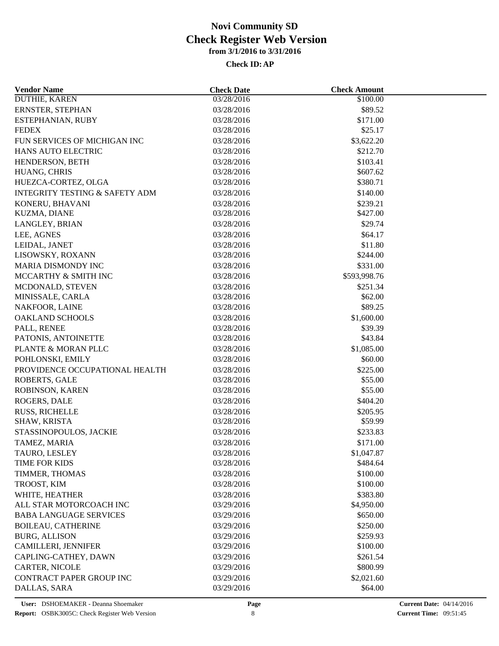| <b>Vendor Name</b>                        | <b>Check Date</b> | <b>Check Amount</b> |  |
|-------------------------------------------|-------------------|---------------------|--|
| DUTHIE, KAREN                             | 03/28/2016        | \$100.00            |  |
| ERNSTER, STEPHAN                          | 03/28/2016        | \$89.52             |  |
| ESTEPHANIAN, RUBY                         | 03/28/2016        | \$171.00            |  |
| <b>FEDEX</b>                              | 03/28/2016        | \$25.17             |  |
| FUN SERVICES OF MICHIGAN INC              | 03/28/2016        | \$3,622.20          |  |
| <b>HANS AUTO ELECTRIC</b>                 | 03/28/2016        | \$212.70            |  |
| HENDERSON, BETH                           | 03/28/2016        | \$103.41            |  |
| HUANG, CHRIS                              | 03/28/2016        | \$607.62            |  |
| HUEZCA-CORTEZ, OLGA                       | 03/28/2016        | \$380.71            |  |
| <b>INTEGRITY TESTING &amp; SAFETY ADM</b> | 03/28/2016        | \$140.00            |  |
| KONERU, BHAVANI                           | 03/28/2016        | \$239.21            |  |
| KUZMA, DIANE                              | 03/28/2016        | \$427.00            |  |
| LANGLEY, BRIAN                            | 03/28/2016        | \$29.74             |  |
| LEE, AGNES                                | 03/28/2016        | \$64.17             |  |
| LEIDAL, JANET                             | 03/28/2016        | \$11.80             |  |
| LISOWSKY, ROXANN                          | 03/28/2016        | \$244.00            |  |
| MARIA DISMONDY INC                        | 03/28/2016        | \$331.00            |  |
| MCCARTHY & SMITH INC                      | 03/28/2016        | \$593,998.76        |  |
| MCDONALD, STEVEN                          | 03/28/2016        | \$251.34            |  |
| MINISSALE, CARLA                          | 03/28/2016        | \$62.00             |  |
| NAKFOOR, LAINE                            | 03/28/2016        | \$89.25             |  |
| <b>OAKLAND SCHOOLS</b>                    | 03/28/2016        | \$1,600.00          |  |
| PALL, RENEE                               | 03/28/2016        | \$39.39             |  |
| PATONIS, ANTOINETTE                       | 03/28/2016        | \$43.84             |  |
| PLANTE & MORAN PLLC                       | 03/28/2016        | \$1,085.00          |  |
| POHLONSKI, EMILY                          | 03/28/2016        | \$60.00             |  |
| PROVIDENCE OCCUPATIONAL HEALTH            | 03/28/2016        | \$225.00            |  |
| ROBERTS, GALE                             | 03/28/2016        | \$55.00             |  |
| ROBINSON, KAREN                           | 03/28/2016        | \$55.00             |  |
| ROGERS, DALE                              | 03/28/2016        | \$404.20            |  |
| RUSS, RICHELLE                            | 03/28/2016        | \$205.95            |  |
| SHAW, KRISTA                              | 03/28/2016        | \$59.99             |  |
| STASSINOPOULOS, JACKIE                    | 03/28/2016        | \$233.83            |  |
| TAMEZ, MARIA                              | 03/28/2016        | \$171.00            |  |
| TAURO, LESLEY                             | 03/28/2016        | \$1,047.87          |  |
| TIME FOR KIDS                             | 03/28/2016        | \$484.64            |  |
| TIMMER, THOMAS                            | 03/28/2016        | \$100.00            |  |
|                                           |                   |                     |  |
| TROOST, KIM                               | 03/28/2016        | \$100.00            |  |
| WHITE, HEATHER                            | 03/28/2016        | \$383.80            |  |
| ALL STAR MOTORCOACH INC                   | 03/29/2016        | \$4,950.00          |  |
| <b>BABA LANGUAGE SERVICES</b>             | 03/29/2016        | \$650.00            |  |
| <b>BOILEAU, CATHERINE</b>                 | 03/29/2016        | \$250.00            |  |
| <b>BURG, ALLISON</b>                      | 03/29/2016        | \$259.93            |  |
| CAMILLERI, JENNIFER                       | 03/29/2016        | \$100.00            |  |
| CAPLING-CATHEY, DAWN                      | 03/29/2016        | \$261.54            |  |
| <b>CARTER, NICOLE</b>                     | 03/29/2016        | \$800.99            |  |
| CONTRACT PAPER GROUP INC                  | 03/29/2016        | \$2,021.60          |  |
| DALLAS, SARA                              | 03/29/2016        | \$64.00             |  |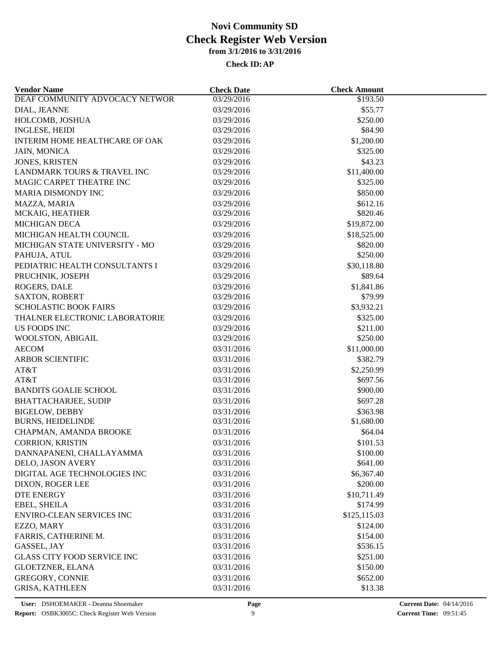| <b>Vendor Name</b>                 | <b>Check Date</b>        | <b>Check Amount</b>     |  |
|------------------------------------|--------------------------|-------------------------|--|
| DEAF COMMUNITY ADVOCACY NETWOR     | 03/29/2016               | \$193.50                |  |
| DIAL, JEANNE                       | 03/29/2016               | \$55.77                 |  |
| HOLCOMB, JOSHUA                    | 03/29/2016               | \$250.00                |  |
| <b>INGLESE, HEIDI</b>              | 03/29/2016               | \$84.90                 |  |
| INTERIM HOME HEALTHCARE OF OAK     | 03/29/2016               | \$1,200.00              |  |
| <b>JAIN, MONICA</b>                | 03/29/2016               | \$325.00                |  |
| JONES, KRISTEN                     | 03/29/2016               | \$43.23                 |  |
| LANDMARK TOURS & TRAVEL INC        | 03/29/2016               | \$11,400.00             |  |
| MAGIC CARPET THEATRE INC           | 03/29/2016               | \$325.00                |  |
| <b>MARIA DISMONDY INC</b>          | 03/29/2016               | \$850.00                |  |
| MAZZA, MARIA                       | 03/29/2016               | \$612.16                |  |
| MCKAIG, HEATHER                    | 03/29/2016               | \$820.46                |  |
| <b>MICHIGAN DECA</b>               | 03/29/2016               | \$19,872.00             |  |
| MICHIGAN HEALTH COUNCIL            | 03/29/2016               | \$18,525.00             |  |
| MICHIGAN STATE UNIVERSITY - MO     | 03/29/2016               | \$820.00                |  |
| PAHUJA, ATUL                       | 03/29/2016               | \$250.00                |  |
| PEDIATRIC HEALTH CONSULTANTS I     | 03/29/2016               | \$30,118.80             |  |
| PRUCHNIK, JOSEPH                   | 03/29/2016               | \$89.64                 |  |
| ROGERS, DALE                       | 03/29/2016               | \$1,841.86              |  |
| <b>SAXTON, ROBERT</b>              | 03/29/2016               | \$79.99                 |  |
| <b>SCHOLASTIC BOOK FAIRS</b>       | 03/29/2016               | \$3,932.21              |  |
| THALNER ELECTRONIC LABORATORIE     | 03/29/2016               | \$325.00                |  |
| <b>US FOODS INC</b>                | 03/29/2016               | \$211.00                |  |
| WOOLSTON, ABIGAIL                  | 03/29/2016               | \$250.00                |  |
| <b>AECOM</b>                       | 03/31/2016               | \$11,000.00             |  |
| <b>ARBOR SCIENTIFIC</b>            | 03/31/2016               | \$382.79                |  |
| AT&T                               | 03/31/2016               | \$2,250.99              |  |
| AT&T                               | 03/31/2016               | \$697.56                |  |
| <b>BANDITS GOALIE SCHOOL</b>       | 03/31/2016               | \$900.00                |  |
| <b>BHATTACHARJEE, SUDIP</b>        | 03/31/2016               | \$697.28                |  |
| <b>BIGELOW, DEBBY</b>              | 03/31/2016               | \$363.98                |  |
| <b>BURNS, HEIDELINDE</b>           | 03/31/2016               | \$1,680.00              |  |
| CHAPMAN, AMANDA BROOKE             | 03/31/2016               | \$64.04                 |  |
| <b>CORRION, KRISTIN</b>            | 03/31/2016               | \$101.53                |  |
| DANNAPANENI, CHALLAYAMMA           | 03/31/2016               | \$100.00                |  |
| DELO, JASON AVERY                  | 03/31/2016               | \$641.00                |  |
| DIGITAL AGE TECHNOLOGIES INC       | 03/31/2016               | \$6,367.40              |  |
| DIXON, ROGER LEE                   | 03/31/2016               | \$200.00                |  |
|                                    |                          |                         |  |
| <b>DTE ENERGY</b><br>EBEL, SHEILA  | 03/31/2016<br>03/31/2016 | \$10,711.49<br>\$174.99 |  |
| <b>ENVIRO-CLEAN SERVICES INC</b>   |                          |                         |  |
|                                    | 03/31/2016               | \$125,115.03            |  |
| EZZO, MARY                         | 03/31/2016               | \$124.00                |  |
| FARRIS, CATHERINE M.               | 03/31/2016               | \$154.00                |  |
| GASSEL, JAY                        | 03/31/2016               | \$536.15                |  |
| <b>GLASS CITY FOOD SERVICE INC</b> | 03/31/2016               | \$251.00                |  |
| GLOETZNER, ELANA                   | 03/31/2016               | \$150.00                |  |
| <b>GREGORY, CONNIE</b>             | 03/31/2016               | \$652.00                |  |
| <b>GRISA, KATHLEEN</b>             | 03/31/2016               | \$13.38                 |  |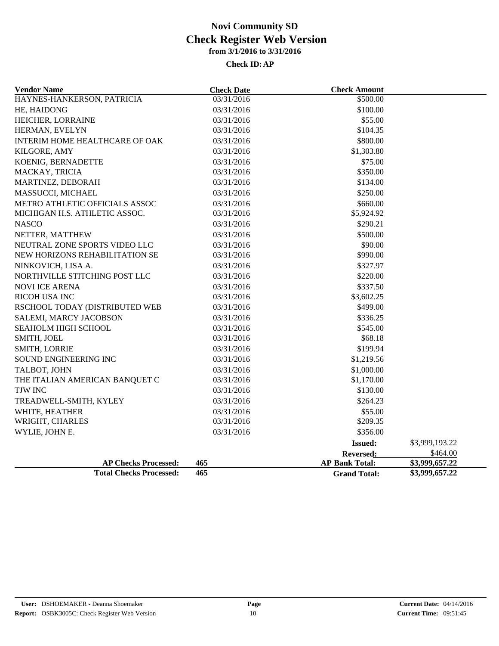| <b>Vendor Name</b>             | <b>Check Date</b> | <b>Check Amount</b>   |                |
|--------------------------------|-------------------|-----------------------|----------------|
| HAYNES-HANKERSON, PATRICIA     | 03/31/2016        | \$500.00              |                |
| HE, HAIDONG                    | 03/31/2016        | \$100.00              |                |
| HEICHER, LORRAINE              | 03/31/2016        | \$55.00               |                |
| HERMAN, EVELYN                 | 03/31/2016        | \$104.35              |                |
| INTERIM HOME HEALTHCARE OF OAK | 03/31/2016        | \$800.00              |                |
| KILGORE, AMY                   | 03/31/2016        | \$1,303.80            |                |
| KOENIG, BERNADETTE             | 03/31/2016        | \$75.00               |                |
| MACKAY, TRICIA                 | 03/31/2016        | \$350.00              |                |
| MARTINEZ, DEBORAH              | 03/31/2016        | \$134.00              |                |
| MASSUCCI, MICHAEL              | 03/31/2016        | \$250.00              |                |
| METRO ATHLETIC OFFICIALS ASSOC | 03/31/2016        | \$660.00              |                |
| MICHIGAN H.S. ATHLETIC ASSOC.  | 03/31/2016        | \$5,924.92            |                |
| <b>NASCO</b>                   | 03/31/2016        | \$290.21              |                |
| NETTER, MATTHEW                | 03/31/2016        | \$500.00              |                |
| NEUTRAL ZONE SPORTS VIDEO LLC  | 03/31/2016        | \$90.00               |                |
| NEW HORIZONS REHABILITATION SE | 03/31/2016        | \$990.00              |                |
| NINKOVICH, LISA A.             | 03/31/2016        | \$327.97              |                |
| NORTHVILLE STITCHING POST LLC  | 03/31/2016        | \$220.00              |                |
| <b>NOVI ICE ARENA</b>          | 03/31/2016        | \$337.50              |                |
| RICOH USA INC                  | 03/31/2016        | \$3,602.25            |                |
| RSCHOOL TODAY (DISTRIBUTED WEB | 03/31/2016        | \$499.00              |                |
| SALEMI, MARCY JACOBSON         | 03/31/2016        | \$336.25              |                |
| SEAHOLM HIGH SCHOOL            | 03/31/2016        | \$545.00              |                |
| SMITH, JOEL                    | 03/31/2016        | \$68.18               |                |
| <b>SMITH, LORRIE</b>           | 03/31/2016        | \$199.94              |                |
| SOUND ENGINEERING INC          | 03/31/2016        | \$1,219.56            |                |
| TALBOT, JOHN                   | 03/31/2016        | \$1,000.00            |                |
| THE ITALIAN AMERICAN BANQUET C | 03/31/2016        | \$1,170.00            |                |
| TJW INC                        | 03/31/2016        | \$130.00              |                |
| TREADWELL-SMITH, KYLEY         | 03/31/2016        | \$264.23              |                |
| WHITE, HEATHER                 | 03/31/2016        | \$55.00               |                |
| WRIGHT, CHARLES                | 03/31/2016        | \$209.35              |                |
| WYLIE, JOHN E.                 | 03/31/2016        | \$356.00              |                |
|                                |                   | <b>Issued:</b>        | \$3,999,193.22 |
|                                |                   | <b>Reversed:</b>      | \$464.00       |
| <b>AP Checks Processed:</b>    | 465               | <b>AP Bank Total:</b> | \$3,999,657.22 |
| <b>Total Checks Processed:</b> | 465               | <b>Grand Total:</b>   | \$3,999,657.22 |